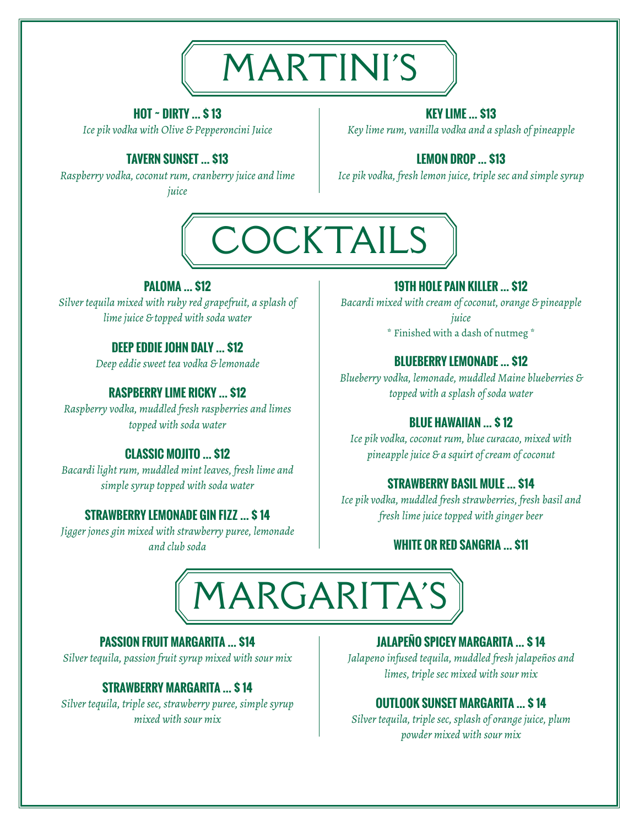

# **HOT ~ DIRTY … \$ 13**

*Ice pik vodka with Olive & Pepperoncini Juice*

# **TAVERN SUNSET … \$13**

*Raspberry vodka, coconut rum, cranberry juice and lime juice*

### **KEY LIME … \$13**

*Key lime rum, vanilla vodka and a splash of pineapple*

# **LEMON DROP … \$13**

*Ice pik vodka, fresh lemon juice, triple sec and simple syrup*



### **PALOMA … \$12**

*Silver tequila mixed with ruby red grapefruit, a splash of lime juice & topped with soda water*

# **DEEP EDDIE JOHN DALY … \$12**

*Deep eddie sweet tea vodka & lemonade* **BLUEBERRY LEMONADE … \$12**

*Raspberry vodka, muddled fresh raspberries and limes topped with soda water* **BLUE HAWAIIAN … \$ 12**

*Bacardi light rum, muddled mint leaves, fresh lime and simple syrup topped with soda water* **STRAWBERRY BASIL MULE … \$14**

*Jigger jones gin mixed with strawberry puree, lemonade and club soda* **WHITE OR RED SANGRIA … \$11**

### **19TH HOLE PAIN KILLER … \$12**

*Bacardi mixed with cream of coconut, orange & pineapple juice* \* Finished with a dash of nutmeg \*

*Blueberry vodka, lemonade, muddled Maine blueberries &* **RASPBERRY LIME RICKY … \$12** *topped with a splash of soda water*

*Ice pik vodka, coconut rum, blue curacao, mixed with* **CLASSIC MOJITO … \$12** *pineapple juice & a squirt of cream of coconut*

*Ice pik vodka, muddled fresh strawberries, fresh basil and* **STRAWBERRY LEMONADE GIN FIZZ … \$ 14** *fresh lime juice topped with ginger beer*



### **PASSION FRUIT MARGARITA … \$14**

*Silver tequila, passion fruit syrup mixed with sour mix*

### **STRAWBERRY MARGARITA … \$ 14**

*Silver tequila, triple sec, strawberry puree, simple syrup mixed with sour mix*

# **JALAPEÑO SPICEY MARGARITA … \$ 14**

*Jalapeno infused tequila, muddled fresh jalapeños and limes, triple sec mixed with sour mix*

# **OUTLOOK SUNSET MARGARITA … \$ 14**

*Silver tequila, triple sec, splash of orange juice, plum powder mixed with sour mix*